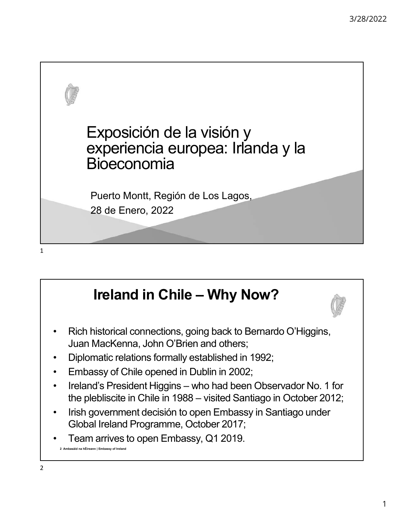

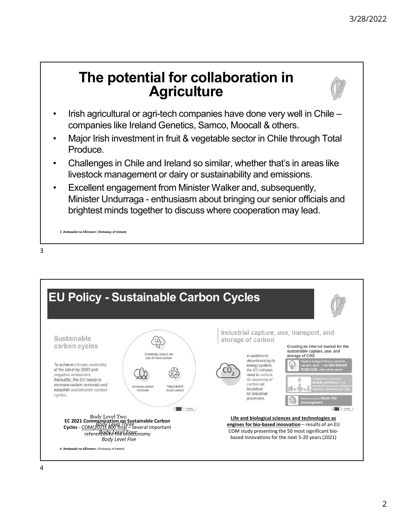# 3/28/2022<br>
The potential for collaboration in<br>
Agriculture<br>
Agriculture<br>
An agricultural or agri-tech companies have done very well in Chile – **Agriculture** <sup>3/28/2022</sup><br>
• **Irish agricultural or agri-tech companies have done very well in Chile –<br>
• Irish agricultural or agri-tech companies have done very well in Chile –<br>
• Major Irish investment in fruit & vegetable sector in** 3/28/2022<br> **Companies Ireland France Ireland Genetics, Samco, Moocall & others.**<br> **Companies like Ireland Genetics, Samco, Moocall & others.**<br>
Major Irish investment in fruit & vegetable sector in Chile through Total<br>
Prod <sup>3/28/2022</sup><br>
• **The potential for collaboration in**<br>
• **Agriculture**<br>
• Irish agriculture companies like Ireland Genetics, Samco, Moocall & others.<br>
• Major Irish investment in fruit & vegetable sector in Chile through Tot



- 
- Produce.
- livestock management or dairy or sustainability and emissions.
- The potential for collaboration in<br>Agriculture<br>Irsh agricultural or agri-tech companies have done very well in<br>companies like Ireland Genetics, Samco, Moocall & others.<br>Major Irish investment in fruit & vegetable sector in <sup>3/28/2022</sup><br>
• **Challenges in Chile and Ireland Source:**<br>
• Irish agricultural or agri-tech companies have done very well in Chile –<br>
• Chine is like Ireland Genetics, Samco, Moocall & others.<br>
• Major Irish investment in <sup>3/28/20</sup><br> **• Excellent Excellent From Magnituditure**<br>
• Irish agriculture<br>
• Irish agricultural or agri-tech companies have done very well in Chile –<br>
• Ompanies like Ireland Genetics, Samco, Moocall & others.<br>
• Major Ir The potential for collaboration in<br>
Agriculture<br>
Irish agriculture<br>
Irish agriculture<br>
Irish argulards of agriculture<br>
Major Irish investment in fruit & vegetable sector in Chile through Total<br>
Produce.<br>
Challenges in Chil brightest minds together to discuss where cooperation may lead.



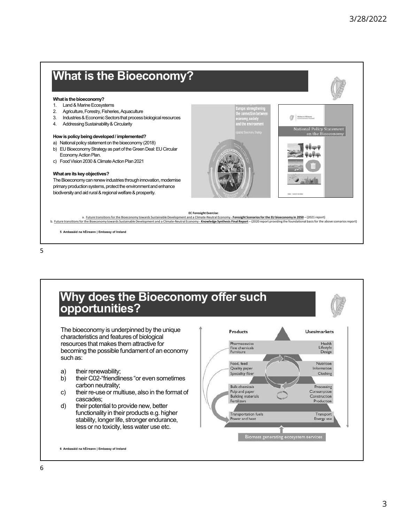

 $5<sub>5</sub>$ 

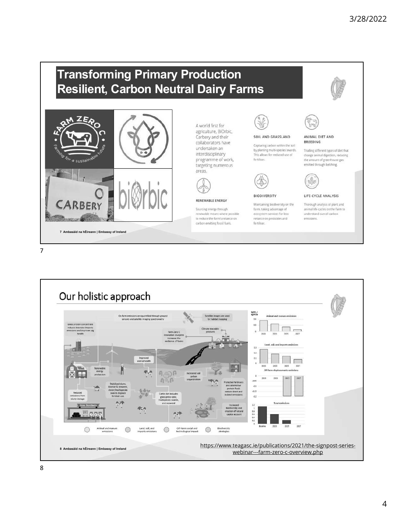### Transforming Primary Production Resilient, Carbon Neutral Dairy Farms











7

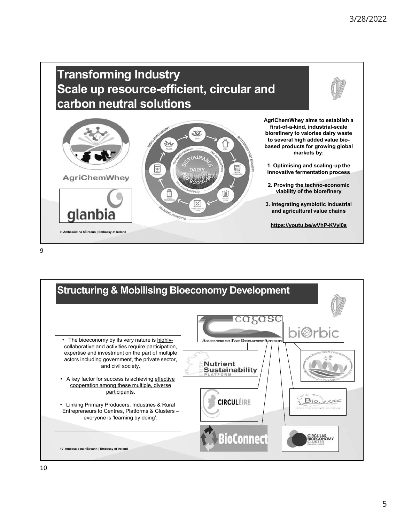## Fransforming Industry<br>
Scale up resource-efficient, circular and<br>
antisterior and<br>
Magnification of the state of Ambassic procession in the state of Ambassic procession<br>
Magnification of the state of the state of the state Transforming Industry Scale up resource-efficient, circular and carbon neutral solutions



3/28/2022<br>
AgriChemWhey aims to establish a<br>
first-of-a-kind, industrial-scale<br>
biorefinery to valorise dairy waste<br>
to several high added value bio-<br>
based products for growing global<br>
markets by: first-of-a-kind, industrial-scale  $3/28/2022$ <br>AgriChemWhey aims to establish a<br>first-of-a-kind, industrial-scale<br>biorefinery to valorise dairy waste<br>to several high added value bio-<br>based products for growing global<br>markets by:<br>1. Optimising and scaling-u to several high added value biobased products for growing global markets by:

1. Optimising and scaling-up the innovative fermentation process

2. Proving the techno-economic viability of the biorefinery

3. Integrating symbiotic industrial and agricultural value chains

https://youtu.be/wVhP-KVyl0s